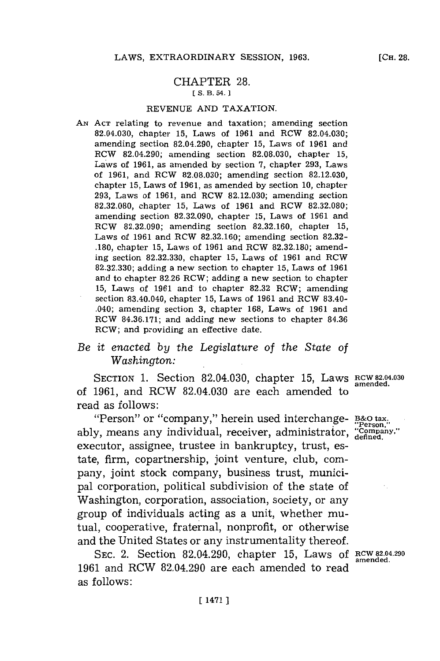### CHAPTER **28.** [ **S. B. 54. 1**

### **REVENUE AND** TAXATION.

**AN ACT** relating to revenue and taxation; amending section 82.04.030, chapter **15,** Laws of **1961** and RCW 82.04.030; amending section 82.04.290, chapter **15,** Laws of **1961** and RCW 82.04.290; amending section **82.08.030,** chapter **15,** Laws of **1961,** as amended **by** section **7,** chapter **293,** Laws of **1961,** and ROW **82.08.030;** amending section **82.12.030,** chapter **15,** Laws of **1961,** as amended **by** section **10,** chapter **293,** Laws of **1961,** and RCW **82.12.030;** amending section **82.32.080,** chapter **15,** Laws of **1961** and ROW **82.32.080;** amending section **82.32.090,** chapter **15,** Laws of **1961** and ROW **82.32.090;** amending section **82.32.160,** chaptei **15,** Laws of **1961** and RCW **82.32.160;** amending section **82.32- .180.** chapter **15,** Laws of **1961** and RCW **82.32.180;** amending section **82.32.330,** chapter **15,** Laws of **1961** and RCW **82.32.330;** adding a new section to chapter **15,** Laws of **1961** and to chapter **82.26** RCW; adding a new section to chapter **15,** Laws of **1961** and to chapter **82.32** ROW; amending section 83.40.040, chapter **15,** Laws of **1961** and RCW 83.40- .040; amending section **3,** chapter **168,** Laws of **1961** and RCW **84.36.171;** and adding new sections to chapter **84.36** ROW; and providing an effective date.

# *Be it enacted by the Legislature of the State of Washington:*

SECTION 1. Section 82.04.030, chapter 15, Laws RCW 82.04.030 of **1961,** and RCW 82.04.030 are each amended to read as follows:

"Person" or "company," herein used interchange- **B3&0 tax.** ably, means any individual, receiver, administrator, "Company," executor, assignee, trustee in bankruptcy, trust, estate, firm, copartnership, joint venture, club, company, joint stock company, business trust, municipal corporation, political subdivision of the state of Washington, corporation, association, society, or any group of individuals acting as a unit, whether mutual, cooperative, fraternal, nonprofit, or otherwise and the United States or any instrumentality thereof.

**SEC.** 2. Section 82.04.290, chapter **15,** Laws **of RCW 82.04.290 amended. 1961** and RCW 82.04.290 are each amended to read as follows: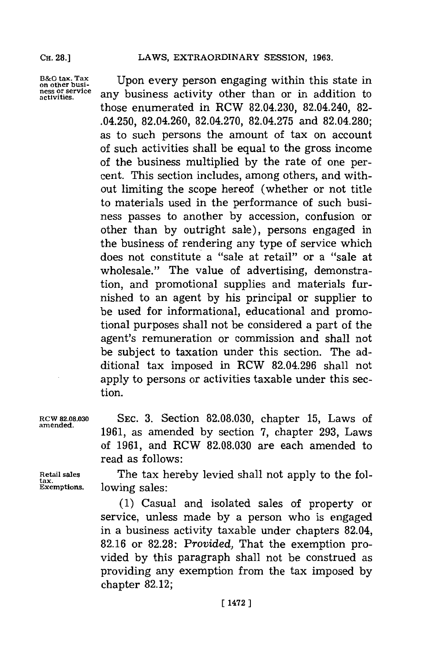**13&O tax. Tax on other busi- ness or service activities.**

Upon every person engaging within this state in any business activity other than or in addition to those enumerated in RCW 82.04.230, 82.04.240, **82-** .04.250, 82.04.260, **82.04.270, 82.04.275** and **82.04.280;** as to such persons the amount of tax on account of such activities shall be equal to the gross income of the business multiplied **by** the rate of one percent. This section includes, among others, and without limiting the scope hereof (whether or not title to materials used in the performance of such business passes to another **by** accession, confusion or other than **by** outright sale), persons engaged in the business of rendering any type of service which does not constitute a "sale at retail" or a "sale at wholesale." The value of advertising, demonstration, and promotional supplies and materials furnished to an agent **by** his principal or supplier to be used for informational, educational and promotional purposes shall not be considered a part of the agent's remuneration or commission and shall not be subject to taxation under this section. The additional tax imposed in RCW **82.04.296** shall not apply to persons or activities taxable under this section.

**RCW 82.08.030 SEC. 3.** Section **82.08.030,** chapter **15,** Laws of amened. **1961,** as amended **by** section **7,** chapter **293,** Laws of **1961,** and RCW **82.08.030** are each amended to read as follows:

**tax.**

**Retail sales** The tax hereby levied shall not apply to the following sales:

> **(1)** Casual and isolated sales of property or service, unless made **by** a person who is engaged in a business activity taxable under chapters 82.04, **82.16** or **82.28:** *Provided,* That the exemption provided **by** this paragraph shall not be construed as providing any exemption from the tax imposed **by** chapter **82.12;**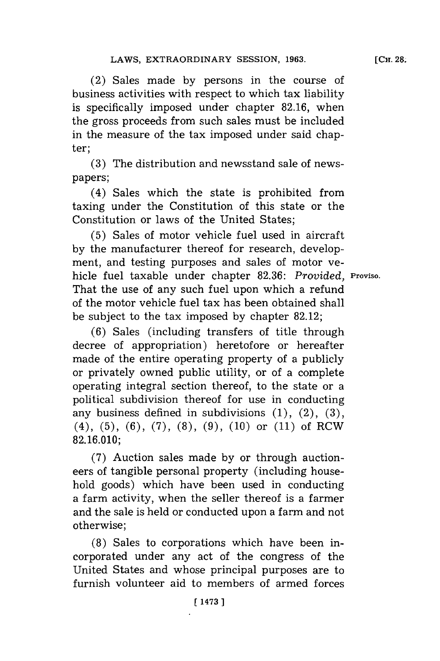(2) Sales made **by** persons in the course of business activities with respect to which tax liability is specifically imposed under chapter **82.16,** when the gross proceeds from such sales must be included in the measure of the tax imposed under said chapter;

**(3)** The distribution and newsstand sale of newspapers;

(4) Sales which the state is prohibited from taxing under the Constitution of this state or the Constitution or laws of the United States;

**(5)** Sales of motor vehicle fuel used in aircraft **by** the manufacturer thereof for research, development, and testing purposes and sales of motor vehicle fuel taxable under chapter **82.36:** *Provided,* **Proviso.** That the use of any such fuel upon which a refund of the motor vehicle fuel tax has been obtained shall be subject to the tax imposed **by** chapter **82.12;**

**(6)** Sales (including transfers of title through decree of appropriation) heretofore or hereafter made of the entire operating property of a publicly or privately owned public utility, or of a complete operating integral section thereof, to the state or a political subdivision thereof for use in conducting any business defined in subdivisions **(1),** (2), **(3),** (4), **(5), (6), (7), (8), (9), (10)** or **(11)** of RCW **82.16.010;**

**(7)** Auction sales made **by** or through auctioneers of tangible personal property (including household goods) which have been used in conducting a farm activity, when the seller thereof is a farmer and the sale is held or conducted upon a farm and not otherwise;

**(8)** Sales to corporations which have been incorporated under any act of the congress of the United States and whose principal purposes are to furnish volunteer aid to members of armed forces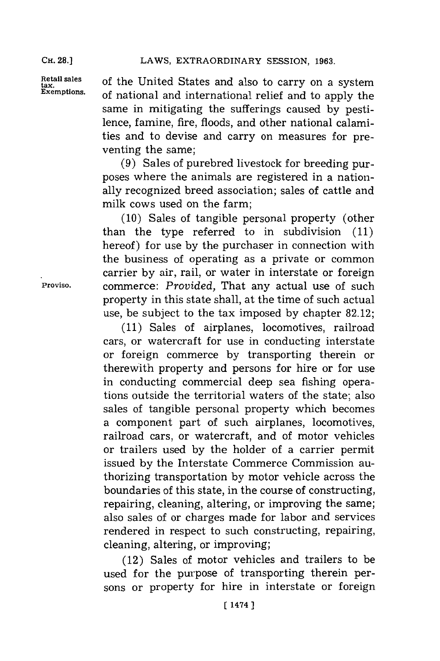Retail sales of the United States and also to carry on a system<br>Exemptions of actional and international politic and the set of national and international relief and to apply the same in mitigating the sufferings caused **by** pestilence, famine, fire, floods, and other national calamities and to devise and carry on measures for preventing the same;

> **(9)** Sales of purebred livestock for breeding purposes where the animals are registered in a nationally recognized breed association; sales of cattle and milk cows used on the farm;

**(10)** Sales of tangible personal property (other than the type referred to in subdivision **(11)** hereof) for use **by** the purchaser in connection with the business of operating as a private or common carrier **by** air, rail, or water in interstate or foreign **Proviso,** commerce: *Provided,* That any actual use of such property in this state shall, at the time of such actual use, be subject to the tax imposed **by** chapter **82.12;**

**(11)** Sales of airplanes, locomotives, railroad cars, or watercraft for use in conducting interstate or foreign commerce **by** transporting therein or therewith property and persons for hire or for use in conducting commercial deep sea fishing operations outside the territorial waters of the state; also sales of tangible personal property which becomes a component part of such airplanes, locomotives, railroad cars, or watercraft, and of motor vehicles or trailers used **by** the holder of a carrier permit issued **by** the Interstate Commerce Commission authorizing transportation **by** motor vehicle across the boundaries of this state, in the course of constructing, repairing, cleaning, altering, or improving the same; also sales of or charges made for labor and services rendered in respect to such constructing, repairing, cleaning, altering, or improving;

(12) Sales of motor vehicles and trailers to be used for the purpose of transporting therein persons or property for hire in interstate or foreign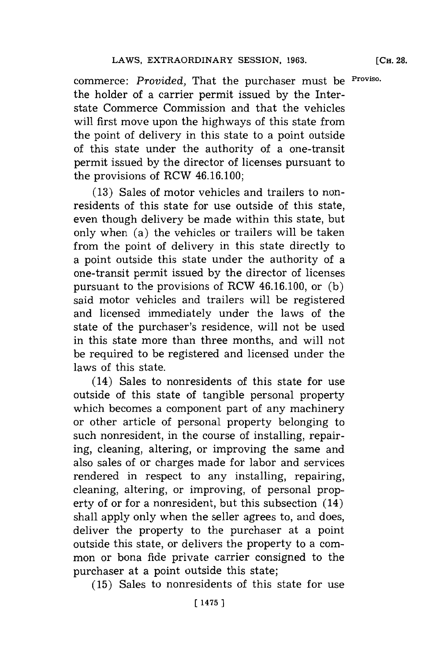**[CH. 28.**

commerce: *Provided,* That the purchaser must be **Proviso.** the holder of a carrier permit issued **by** the Interstate Commerce Commission and that the vehicles will first move upon the highways of this state from the point of delivery in this state to a point outside of this state under the authority of a one-transit permit issued **by** the director of licenses pursuant to the provisions of RCW 46.16.100;

**(13)** Sales of motor vehicles and trailers to nonresidents of this state for use outside of this state, even though delivery be made within this state, but only when (a) the vehicles or trailers will be taken from the point of delivery in this state directly to a point outside this state under the authority of a one-transit permit issued **by** the director of licenses pursuant to the provisions of RCW 46.16.100, or **(b)** said motor vehicles and trailers will be registered and licensed immediately under the laws of the state of the purchaser's residence, will not be used in this state more than three months, and will not be required to be registered and licensed under the laws of this state.

(14) Sales to nonresidents of this state for use outside of this state of tangible personal property which becomes a component part of any machinery or other article of personal property belonging to such nonresident, in the course of installing, repairing, cleaning, altering, or improving the same and also sales of or charges made for labor and services rendered in respect to any installing, repairing, cleaning, altering, or improving, of personal property of or for a nonresident, but this subsection (14) shall apply only when the seller agrees to, and does, deliver the property to the purchaser at a point outside this state, or delivers the property to a common or bona fide private carrier consigned to the purchaser at a point outside this state;

**(15)** Sales to nonresidents of this state for use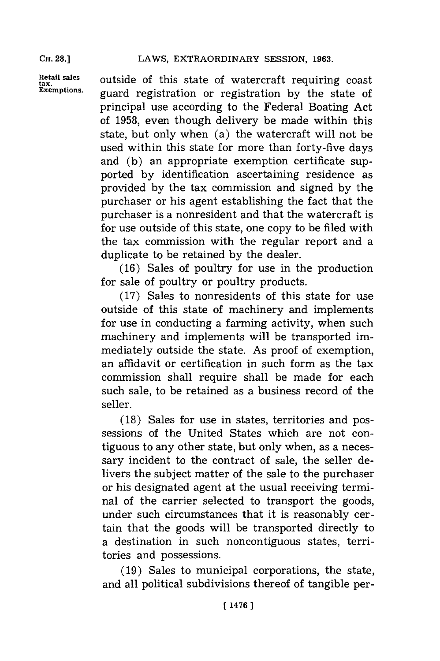tax.<br>Exemptions.

Retail sales outside of this state of watercraft requiring coast **Exemptions.** guard registration or registration **by** the state of principal use according to the Federal Boating Act of **1958,** even though delivery be made within this state, but only when (a) the watercraft will not be used within this state for more than forty-five days and **(b)** an appropriate exemption certificate supported **by** identification ascertaining residence as provided **by** the tax commission and signed **by** the purchaser or his agent establishing the fact that the purchaser is a nonresident and that the watercraft is for use outside of this state, one copy to be filed with the tax commission with the regular report and a duplicate to be retained **by** the dealer.

> **(16)** Sales of poultry for use in the production for sale of poultry or poultry products.

> **(17)** Sales to nonresidents of this state for use outside of this state of machinery and implements for use in conducting a farming activity, when such machinery and implements will be transported immediately outside the state. As proof of exemption, an affidavit or certification in such form as the tax commission shall require shall be made for each such sale, to be retained as a business record of the seller.

> **(18)** Sales for use in states, territories and possessions of the United States which are not contiguous to any other state, but only when, as a necessary incident to the contract of sale, the seller delivers the subject matter of the sale to the purchaser or his designated agent at the usual receiving terminal of the carrier selected to transport the goods, under such circumstances that it is reasonably certain that the goods will be transported directly to a destination in such noncontiguous states, territories and possessions.

> **(19)** Sales to municipal corporations, the state, and all political subdivisions thereof of tangible per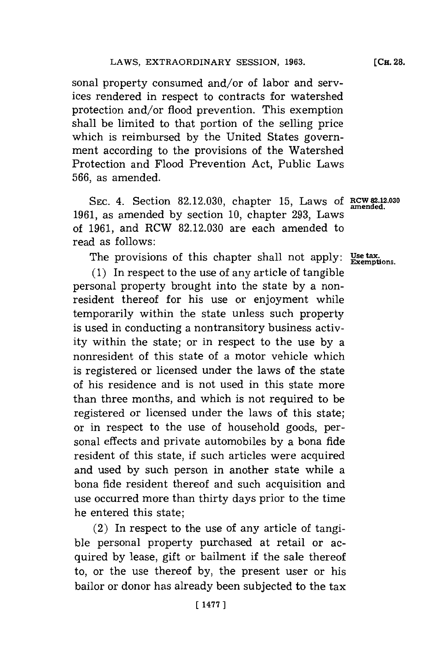sonal property consumed and/or of labor and services rendered in respect to contracts for watershed protection and/or flood prevention. This exemption shall be limited to that portion of the selling price which is reimbursed **by** the United States government according to the provisions of the Watershed Protection and Flood Prevention Act, Public Laws **566,** as amended.

**SEC.** 4. Section **82.12.030,** chapter **15,** Laws **of RCW 82.12.030 1961,** as amended **by** section **10,** chapter **293,** Laws of **1961,** and RCW **82.12.030** are each amended to read as follows:

The provisions of this chapter shall not apply: **Use tax.**<br>Exemptions.

**(1)** In respect to the use of any article of tangible personal property brought into the state **by** a nonresident thereof for his use or enjoyment while temporarily within the state unless such property is used in conducting a nontransitory business activity within the state; or in respect to the use **by** a nonresident of this state of a motor vehicle which is registered or licensed under the laws of the state of his residence and is not used in this state more than three months, and which is not required to be registered or licensed under the laws of this state; or in respect to the use of household goods, personal effects and private automobiles **by** a bona fide resident of this state, if such articles were acquired and used **by** such person in another state while a bona fide resident thereof and such acquisition and use occurred more than thirty days prior to the time he entered this state;

(2) In respect to the use of any article of tangible personal property purchased at retail or acquired **by** lease, gift or bailment if the sale thereof to, or the use thereof **by,** the present user or his bailor or donor has already been subjected to the tax

**amended.**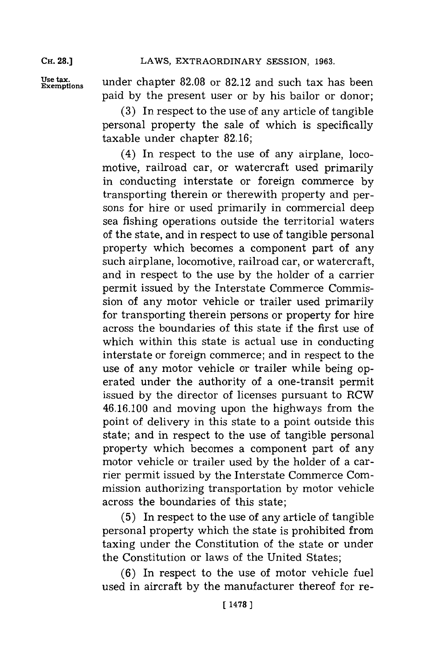**Use tax.**

**Exemptions** under chapter **82.08** or **82.12** and such tax has been paid **by** the present user or **by** his bailor or donor;

**(3)** In respect to the use of any article of tangible personal property the sale of which is specifically taxable under chapter **82.16;**

(4) In respect to the use of any airplane, locomotive, railroad car, or watercraft used primarily in conducting interstate or foreign commerce **by** transporting therein or therewith property and persons for hire or used primarily in commercial deep sea fishing operations outside the territorial waters of the state, and in respect to use of tangible personal property which becomes a component part of any such airplane, locomotive, railroad car, or watercraft, and in respect to the use **by** the holder of a carrier permit issued **by** the Interstate Commerce Commission of any motor vehicle or trailer used primarily for transporting therein persons or property for hire across the boundaries of this state if the first use of which within this state is actual use in conducting interstate or foreign commerce; and in respect to the use of any motor vehicle or trailer while being operated under the authority of a one-transit permit issued **by** the director of licenses pursuant to RCW 46.16.100 and moving upon the highways from the point of delivery in this state to a point outside this state; and in respect to the use of tangible personal property which becomes a component part of any motor vehicle or trailer used **by** the holder of a carrier permit issued **by** the Interstate Commerce Commission authorizing transportation **by** motor vehicle across the boundaries of this state;

**(5)** In respect to the use of any article of tangible personal property which the state is prohibited from taxing under the Constitution of the state or under the Constitution or laws of the United States;

**(6)** In respect to the use of motor vehicle fuel used in aircraft **by** the manufacturer thereof for re-

**[14781**

**CH. 28.]**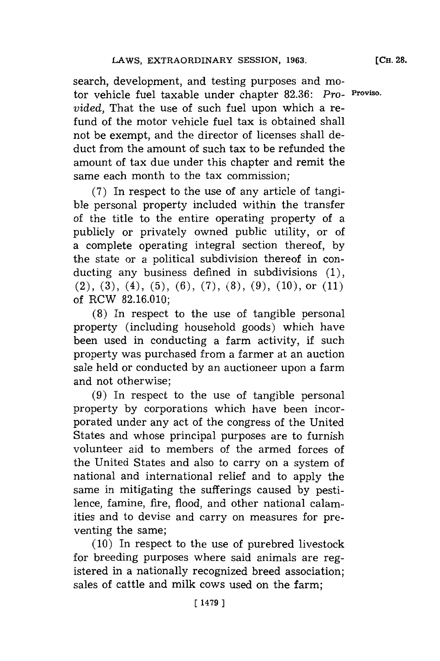search, development, and testing purposes and motor vehicle fuel taxable under chapter **82.36:** *pro-* **Proviso.** *vided,* That the use of such fuel upon which a refund of the motor vehicle fuel tax is obtained shall not be exempt, and the director of licenses shall deduct from the amount of such tax to be refunded the amount of tax due under this chapter and remit the same each month to the tax commission;

**(7)** In respect to the use of any article of tangible personal property included within the transfer of the title to the entire operating property of a publicly or privately owned public utility, or of a complete operating integral section thereof, **by** the state or a political subdivision thereof in conducting any business defined in subdivisions **(1),** (2), **(3),** (4), **(5), (6), (7), (8), (9), (10),** or **(11)** of RCW **82.16.010;**

**(8)** In respect to the use of tangible personal property (including household goods) which have been used in conducting a farm activity, if such property was purchased from a farmer at an auction sale held or conducted **by** an auctioneer upon a farm and not otherwise;

**(9)** In respect to the use of tangible personal property **by** corporations which have been incorporated under any act of the congress of the United States and whose principal purposes are to furnish volunteer aid to members of the armed forces of the United States and also to carry on a system of national and international relief and to apply the same in mitigating the sufferings caused **by** pestilence, famine, fire, flood, and other national calamities and to devise and carry on measures for preventing the same;

**(10)** In respect to the use of purebred livestock for breeding purposes where said animals are registered in a nationally recognized breed association; sales of cattle and milk cows used on the farm;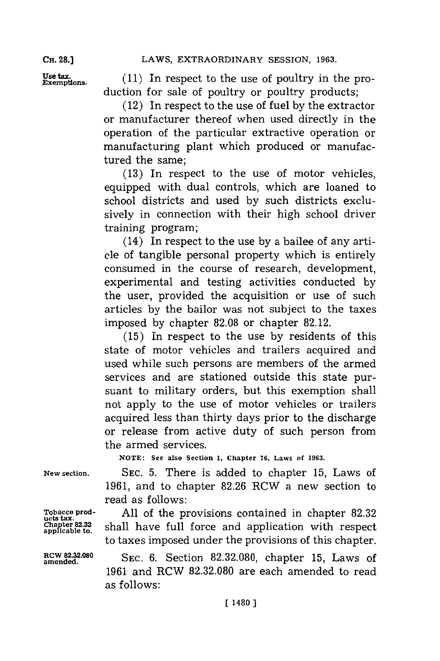Use tax. (11) In respect to the use of poultry in the production for sale of poultry or poultry products;

(12) In respect to the use of fuel **by** the extractor or manufacturer thereof when used directly in the operation of the particular extractive operation or manufacturing plant which produced or manufactured the same;

**(13)** In respect to the use of motor vehicles, equipped with dual controls, which are loaned to school districts and used **by** such districts exclusively in connection with their high school driver training program;

(14) In respect to the use **by** a bailee of any article of tangible personal property which is entirely consumed in the course of research, development, experimental and testing activities conducted **by** the user, provided the acquisition or use of such articles **by** the bailor was not subject to the taxes imposed **by** chapter **82.08** or chapter **82.12.**

**(15)** In respect to the use **by** residents of this state of motor vehicles and trailers acquired and used while such persons are members of the armed services and are stationed outside this state pursuant to military orders, but this exemption shall not apply to the use of motor vehicles or trailers acquired less than thirty days prior to the discharge or release from active duty of such person from the armed services.

**NOTE: See also Section 1, Chapter 76, Laws of 1963.**

ucts tax.<br>Chapter 82.32<br>applicable to.

**RCW 82.32.080**

**New section. SEC. 5.** There is added to chapter **15,** Laws of **1961,** and to chapter **82.26** RCW a new section to read as follows:

**Tobacco prod- All** of the provisions contained in chapter **82.32** shall have full force and application with respect to taxes imposed under the provisions of this chapter.

> **amended. SEC. 6.** Section **82.32.080,** chapter **15,** Laws of **1961** and RCW **82.32.080** are each amended to read as follows: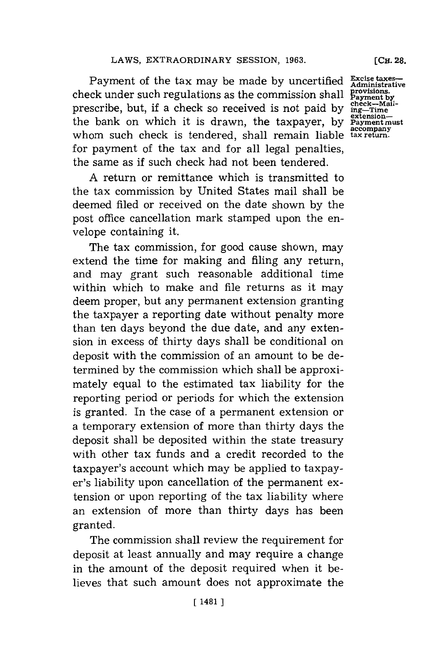Payment of the tax may be made by uncertified **Excise taxes**check under such regulations as the commission shall prescribe, but, if a check so received is not paid by the bank on which it is drawn, the taxpayer, by whom such check is tendered, shall remain liable tax return. for payment of the tax and for all legal penalties, the same as **if** such check had not been tendered.

**A** return or remittance which is transmitted to the tax commission **by** United States mail shall be deemed filed or received on the date shown **by** the post office cancellation mark stamped upon the envelope containing it.

The tax commission, for good cause shown, may extend the time for making and filing any return, and may grant such reasonable additional time within which to make and file returns as it may deem proper, but any permanent extension granting the taxpayer a reporting date without penalty more than ten days beyond the due date, and any extension in excess of thirty days shall be conditional on deposit with the commission of an amount to be determined **by** the commission which shall be approximately equal to the estimated tax liability for the reporting period or periods for which the extension is granted. In the case of a permanent extension or a temporary extension of more than thirty days the deposit shall be deposited within the state treasury with other tax funds and a credit recorded to the taxpayer's account which may be applied to taxpayer's liability upon cancellation of the permanent extension or upon reporting of the tax liability where an extension of more than thirty days has been granted.

The commission shall review the requirement for deposit at least annually and may require a change in the amount of the deposit required when it believes that such amount does not approximate the

Administrative<br>provisions.<br>Payment by<br>check—Mail-<br>ing—Time<br>extension—<br>Payment must

**[CH. 28.**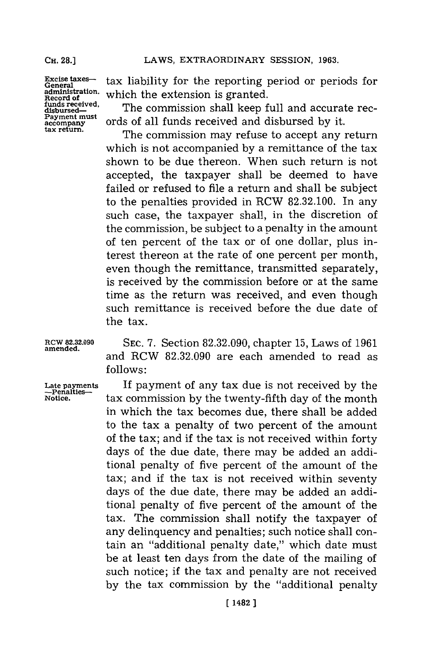**Excise taxes-General administration. Record of funds received. disbursed-Payment must accompany tax return.**

tax liability for the reporting period or periods for which the extension is granted.

The commission shall keep full and accurate records of all funds received and disbursed **by** it.

The commission may refuse to accept any return which is not accompanied **by** a remittance of the tax shown to be due thereon. When such return is not accepted, the taxpayer shall be deemed to have failed or refused to file a return and shall be subject to the penalties provided in RCW **82.32.100.** In any such case, the taxpayer shall, in the discretion of the commission, be subject to a penalty in the amount of ten percent of the tax or of one dollar, plus interest thereon at the rate of one percent per month, even though the remittance, transmitted separately, is received **by** the commission before or at the same time as the return was received, and even though such remittance is received before the due date of the tax.

**RCW 82.32.090 SEC. 7.** Section **82.32.090,** chapter **15,** Laws of **<sup>1961</sup> amended.** and RCW **82.32.090** are each amended to read as **follows:**

> If payment of any tax due is not received **by** the tax commission **by** the twenty-fifth day of the month in which the tax becomes due, there shall be added to the tax a penalty of two percent of the amount of the tax; and if the tax is not received within forty days of the due date, there may be added an additional penalty of five percent of the amount of the tax; and if the tax is not received within seventy days of the due date, there may be added an additional penalty of five percent of the amount of the tax. The commission shall notify the taxpayer of any delinquency and penalties; such notice shall contain an "additional penalty date," which date must be at least ten days from the date of the mailing of such notice; if the tax and penalty are not received **by** the tax commission **by** the "additional penalty

## Late payme<br>—Penalties **Notice.**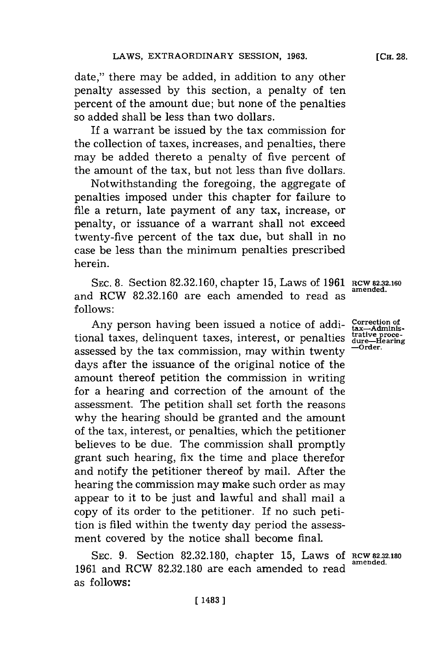date," there may be added, in addition to any other penalty assessed **by** this section, a penalty of ten percent of the amount due; but none of the penalties so added shall be less than two dollars.

**If** a warrant be issued **by** the tax commission for the collection of taxes, increases, and penalties, there may be added thereto a penalty of five percent of the amount of the tax, but not less than five dollars.

Notwithstanding the foregoing, the aggregate of penalties imposed under this chapter for failure to file a return, late payment of any tax, increase, or penalty, or issuance of a warrant shall not exceed twenty-five percent of the tax due, but shall in no case be less than the minimum penalties prescribed herein.

SEC. 8. Section 82.32.160, chapter 15, Laws of 1961 RCW 82.32.160 and RCW 82.32.160 are each amended to read as **follows:**

Any person having been issued a notice of additional taxes, delinquent taxes, interest, or penalties assessed **by** the tax commission, may within twenty days after the issuance of the original notice of the amount thereof petition the commission in writing for a hearing and correction of the amount of the assessment. The petition shall set forth the reasons why the hearing should be granted and the amount of the tax, interest, or penalties, which the petitioner believes to be due. The commission shall promptly grant such hearing, fix the time and place therefor and notify the petitioner thereof **by** mail. After the hearing the commission may make such order as may appear to it to be just and lawful and shall mail a copy of its order to the petitioner. If no such petition is filed within the twenty day period the assessment covered **by** the notice shall become final.

**SEC. 9.** Section **82.32.180,** chapter **15,** Laws **Of RcW82.32.180 <sup>1961</sup>**and RCW **82.32.180** are each amended to read **amended.** as follows:

**Correction of tax-Administrative proce-dure-Hearing -Order.**

**[CH. 28.**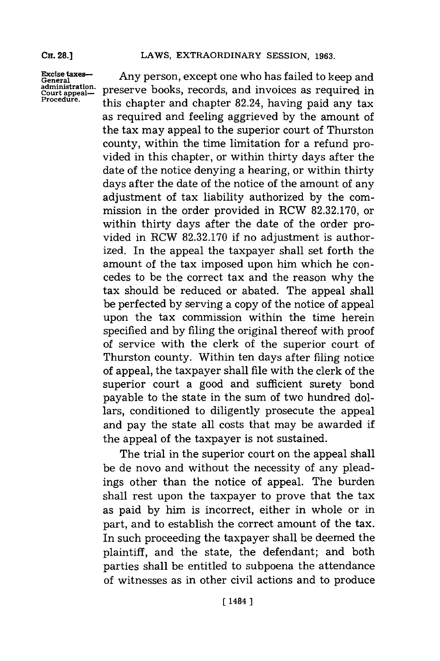### Cn. **28.]**

# LAWS, EXTRAORDINARY SESSION, 1963.

**Excise taxes-General administration. Court appeal\_- Procedure.**

Any person, except one who has failed to keep and preserve books, records, and invoices as required in this chapter and chapter 82.24, having paid any tax as required and feeling aggrieved **by** the amount of the tax may appeal to the superior court of Thurston county, within the time limitation for a refund provided in this chapter, or within thirty days after the date of the notice denying a hearing, or within thirty days after the date of the notice of the amount of any adjustment of tax liability authorized **by** the commission in the order provided in RCW **82.32.170,** or within thirty days after the date of the order provided in RCW **82.32.170** if no adjustment is authorized. In the appeal the taxpayer shall set forth the amount of the tax imposed upon him which he concedes to be the correct tax and the reason why the tax should be reduced or abated. The appeal shall be perfected **by** serving a copy of the notice of appeal upon the tax commission within the time herein specified and **by** filing the original thereof with proof of service with the clerk of the superior court of Thurston county. Within ten days after filing notice of appeal, the taxpayer shall file with the clerk of the superior court a good and sufficient surety bond payable to the state in the sum of two hundred dollars, conditioned to diligently prosecute the appeal and pay the state all costs that may be awarded if the appeal of the taxpayer is not sustained.

The trial in the superior court on the appeal shall be de novo and without the necessity of any pleadings other than the notice of appeal. The burden shall rest upon the taxpayer to prove that the tax as paid **by** him is incorrect, either in whole or in part, and to establish the correct amount of the tax. In such proceeding the taxpayer shall be deemed the plaintiff, and the state, the defendant; and both parties shall be entitled to subpoena the attendance of witnesses as in other civil actions and to produce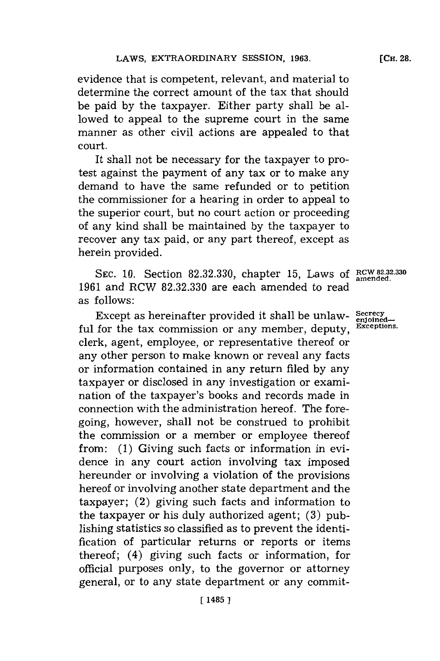evidence that is competent, relevant, and material to determine the correct amount of the tax that should be paid **by** the taxpayer. Either party shall be allowed to appeal to the supreme court in the same manner as other civil actions are appealed to that court.

It shall not be necessary for the taxpayer to protest against the payment of any tax or to make any demand to have the same refunded or to petition the commissioner for a hearing in order to appeal to the superior court, but no court action or proceeding of any kind shall be maintained **by** the taxpayer to recover any tax paid, or any part thereof, except as herein provided.

**SEC. 10.** Section **82.32.330,** chapter **15,** Laws **of RCW 82.32.330 amended. 1961** and RCW **82.32.330** are each amended to read as follows:

Except as hereinafter provided it shall be unlaw- **Secrecy** ful for the tax commission or any member, deputy, **Exceptions.** clerk, agent, employee, or representative thereof or any other person to make known or reveal any facts or information contained in any return filed **by** any taxpayer or disclosed in any investigation or examination of the taxpayer's books and records made in connection with the administration hereof. The foregoing, however, shall not be construed to prohibit the commission or a member or employee thereof from: **(1)** Giving such facts or information in evidence in any court action involving tax imposed hereunder or involving a violation of the provisions hereof or involving another state department and the taxpayer; (2) giving such facts and information to the taxpayer or his duly authorized agent; **(3)** publishing statistics so classified as to prevent the identification of particular returns or reports or items thereof; (4) giving such facts or information, for official purposes only, to the governor or attorney general, or to any state department or any commit-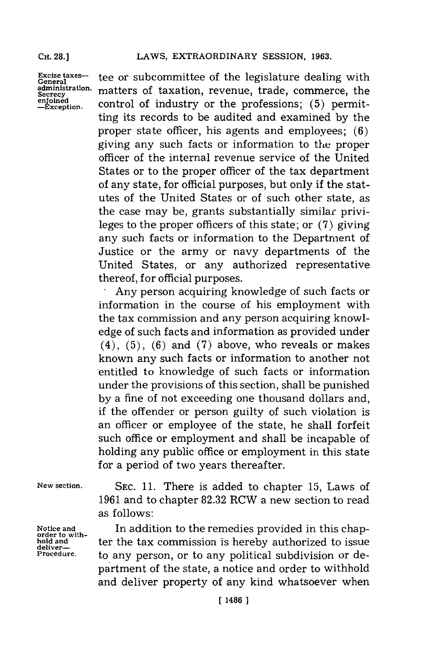**Excise taxes-General administration. Secrecy enjoined -Exception.**

tee or subcommittee of the legislature dealing with matters of taxation, revenue, trade, commerce, the control of industry or the professions; **(5)** permitting its records to be audited and examined **by** the proper state officer, his agents and employees; **(6)** giving any such facts or information to the proper officer of the internal revenue service of the United States or to the proper officer of the tax department of any state, for official purposes, but only if the statutes of the United States or of such other state, as the case may be, grants substantially similar privileges to the proper officers of this state; or **(7)** giving any such facts or information to the Department of Justice or the army or navy departments of the United States, or any authorized representative thereof, **for** official purposes.

-Any person acquiring knowledge of such facts or information in the course of his employment with the tax commission and any person acquiring knowledge of such facts and information as provided under (4), **(5), (6)** and **(7)** above, who reveals or makes known any such facts or information to another not entitled to knowledge of such facts or information under the provisions of this section, shall be punished **by** a fine of not exceeding one thousand dollars and, if the offender or person guilty of such violation is an officer or employee of the state, he shall forfeit such office or employment and shall be incapable of holding any public office or employment in this state for a period of two years thereafter.

**New section.**

**Notice and order to with-hold and deliver-Procedure.**

**SEC. 11.** There is added to chapter **15,** Laws of **1961** and to chapter **82.32** RCW a new section to read as follows:

In addition to the remedies provided in this chapter the tax commission is hereby authorized to issue to any person, or to any political subdivision or department of the state, a notice and order to withhold and deliver property of any kind whatsoever when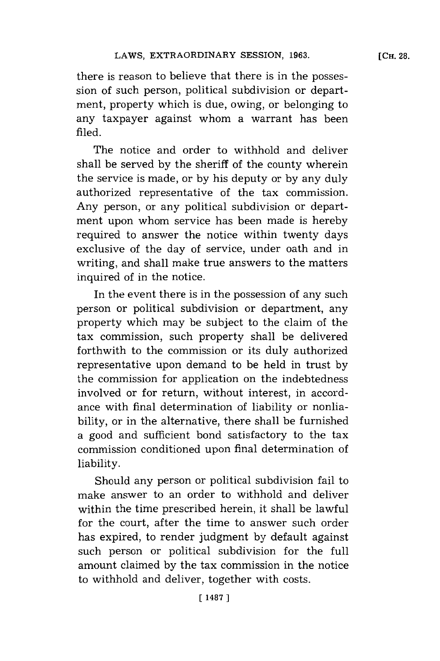there is reason to believe that there is in the possession of such person, political subdivision or department, property which is due, owing, or belonging to any taxpayer against whom a warrant has been filed.

The notice and order to withhold and deliver shall be served **by** the sheriff of the county wherein the service is made, or **by** his deputy or **by** any duly authorized representative of the tax commission. Any person, or any political subdivision or department upon whom service has been made is hereby required to answer the notice within twenty days exclusive of the day of service, under oath and in writing, and shall make true answers to the matters inquired of in the notice.

In the event there is in the possession of any such person or political subdivision or department, any property which may be subject to the claim of the tax commission, such property shall be delivered forthwith to the commission or its duly authorized representative upon demand to be held in trust **by** the commission for application on the indebtedness involved or for return, without interest, in accordance with final determination of liability or nonliability, or in the alternative, there shall be furnished a good and sufficient bond satisfactory to the tax commission conditioned upon final determination of liability.

Should any person or political subdivision fail to make answer to an order to withhold and deliver within the time prescribed herein, it shall be lawful for the court, after the time to answer such order has expired, to render judgment **by** default against such person or political subdivision for the full amount claimed **by** the tax commission in the notice to withhold and deliver, together with costs.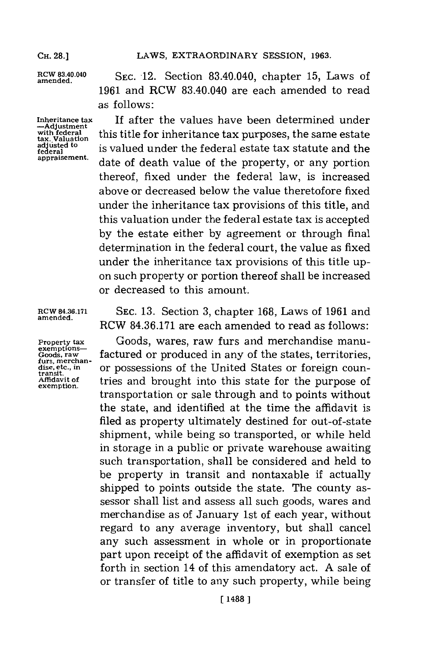**exemptions-**

**amend83..0 SEC.** 12. Section 83.40.040, chapter **15,** Laws of **1961** and RCW 83.40.040 are each amended to read as follows:

Inheritance tax **If after the values have been determined under**<br>  $\frac{-\text{Adjustment}}{\text{with federal}}$  this title for inheritance tax purposes, the same estate<br>
ax. Valuation is valued under the federal estate tax statute and the<br>
rederal this title for inheritance tax purposes, the same estate **federal disk is valued under the federal estate tax statute and the regeral estate tax statute and the approximate of the approximate and the approximate**  $\frac{1}{2}$ date of death value of the property, or any portion thereof, fixed under the federal law, is increased above or decreased below the value theretofore fixed under the inheritance tax provisions of this title, and this valuation under the federal estate tax is accepted **by** the estate either **by** agreement or through final determination in the federal court, the value as fixed under the inheritance tax provisions of this title upon such property or portion thereof shall be increased or decreased to this amount.

RCW **84.36.171 SEC. 13.** Section **3,** chapter **168,** Laws of **1961** and **amended.** RCW **84.36.171** are each amended to read as follows:

**Property tax** Goods, wares, raw furs and merchandise manu-Ecods, raw **factured or produced in any of the states, territories,** the states or foreign counties, dise, etc., in **or possessions of the United States or foreign counties** dise, etc., in **dise, etc., in** or possessions of the United States or foreign coun-<br>transit,<br>exemption. tries and brought into this state for the purpose of transportation or sale through and to points without the state, and identified at the time the affidavit is filed as property ultimately destined for out-of-state. shipment, while being so transported, or while held in storage in a public or private warehouse awaiting such transportation, shall be considered and held to be property in transit and nontaxable if actually shipped to points outside the state. The county assessor shall list and assess all such goods, wares and merchandise as of January 1st of each year, without regard to any average inventory, but shall cancel any such assessment in whole or in proportionate part upon receipt of the affidavit of exemption as set forth in section 14 of this amendatory act. **A** sale of or transfer of title to any such property, while being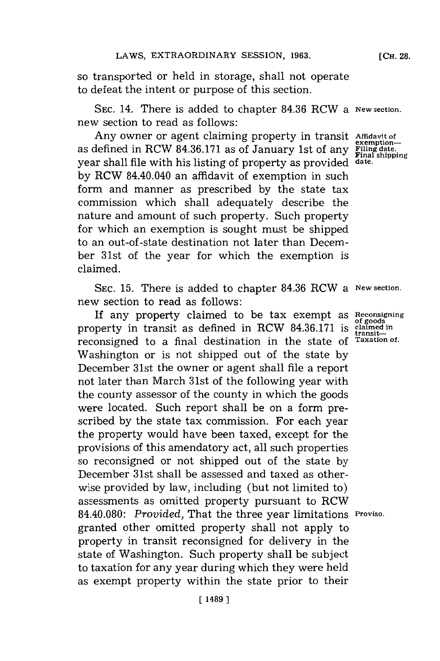so transported or held in storage, shall not operate to defeat the intent or purpose of this section.

**SEC.** 14. There is added to chapter **84.36** RCW a **New section.** new section to read as follows:

Any owner or agent claiming property in transit **Affidavit of** Extending the contract of a semption-<br>as defined in RCW 84.36.171 as of January 1st of any **Final state** year shall file with his listing of property as provided **date. by** RCW 84.40.040 an affidavit of exemption in such form and manner as prescribed **by** the state tax commission which shall adequately describe the nature and amount of such property. Such property for which an exemption is sought must be shipped to an out-of -state destination not later than December 31st of the year for which the exemption is claimed.

**SEC. 15.** There is added to chapter **84.36** RCW a **New section.** new section to read as follows:

**If** any property claimed to be tax exempt as **Reconsigning** property in transit as defined in RCW 84.36.171 is claimed in reconsigned to a final destination in the state **of Taxation** *of.* Washington or is not shipped out of the state **by** December 31st the owner or agent shall file a report not later than March 31st of the following year with the county assessor of the county in which the goods were located. Such report shall be on a form prescribed **by** the state tax commission. For each year the property would have been taxed, except for the provisions of this amendatory act, all such properties so reconsigned or not shipped out of the state **by** December 31st shall be assessed and taxed as otherwise provided **by** law, including (but not limited to) assessments as omitted property pursuant to RCW 84.40.080: *Provided,* That the three year limitations **Proviso.** granted other omitted property shall not apply to property in transit reconsigned for delivery in the state of Washington. Such property shall be subject to taxation for any year during which they were held as exempt property within the state prior to their

**[CH. 28.**